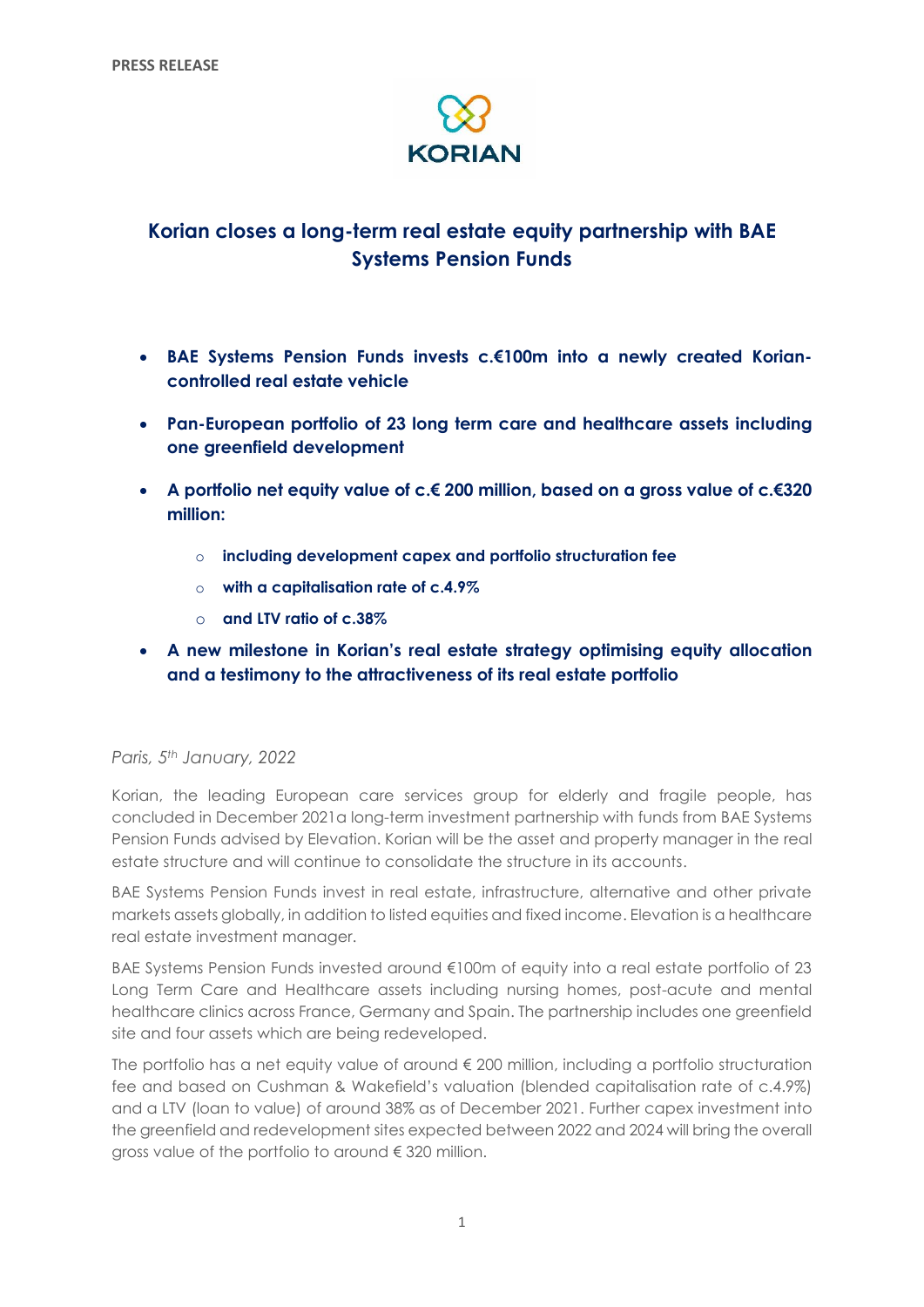

# **Korian closes a long-term real estate equity partnership with BAE Systems Pension Funds**

- **BAE Systems Pension Funds invests c.€100m into a newly created Koriancontrolled real estate vehicle**
- **Pan-European portfolio of 23 long term care and healthcare assets including one greenfield development**
- **A portfolio net equity value of c.€ 200 million, based on a gross value of c.€320 million:**
	- o **including development capex and portfolio structuration fee**
	- o **with a capitalisation rate of c.4.9%**
	- o **and LTV ratio of c.38%**
- **A new milestone in Korian's real estate strategy optimising equity allocation and a testimony to the attractiveness of its real estate portfolio**

# *Paris, 5th January, 2022*

Korian, the leading European care services group for elderly and fragile people, has concluded in December 2021a long-term investment partnership with funds from BAE Systems Pension Funds advised by Elevation. Korian will be the asset and property manager in the real estate structure and will continue to consolidate the structure in its accounts.

BAE Systems Pension Funds invest in real estate, infrastructure, alternative and other private markets assets globally, in addition to listed equities and fixed income. Elevation is a healthcare real estate investment manager.

BAE Systems Pension Funds invested around €100m of equity into a real estate portfolio of 23 Long Term Care and Healthcare assets including nursing homes, post-acute and mental healthcare clinics across France, Germany and Spain. The partnership includes one greenfield site and four assets which are being redeveloped.

The portfolio has a net equity value of around € 200 million, including a portfolio structuration fee and based on Cushman & Wakefield's valuation (blended capitalisation rate of c.4.9%) and a LTV (loan to value) of around 38% as of December 2021. Further capex investment into the greenfield and redevelopment sites expected between 2022 and 2024 will bring the overall gross value of the portfolio to around € 320 million.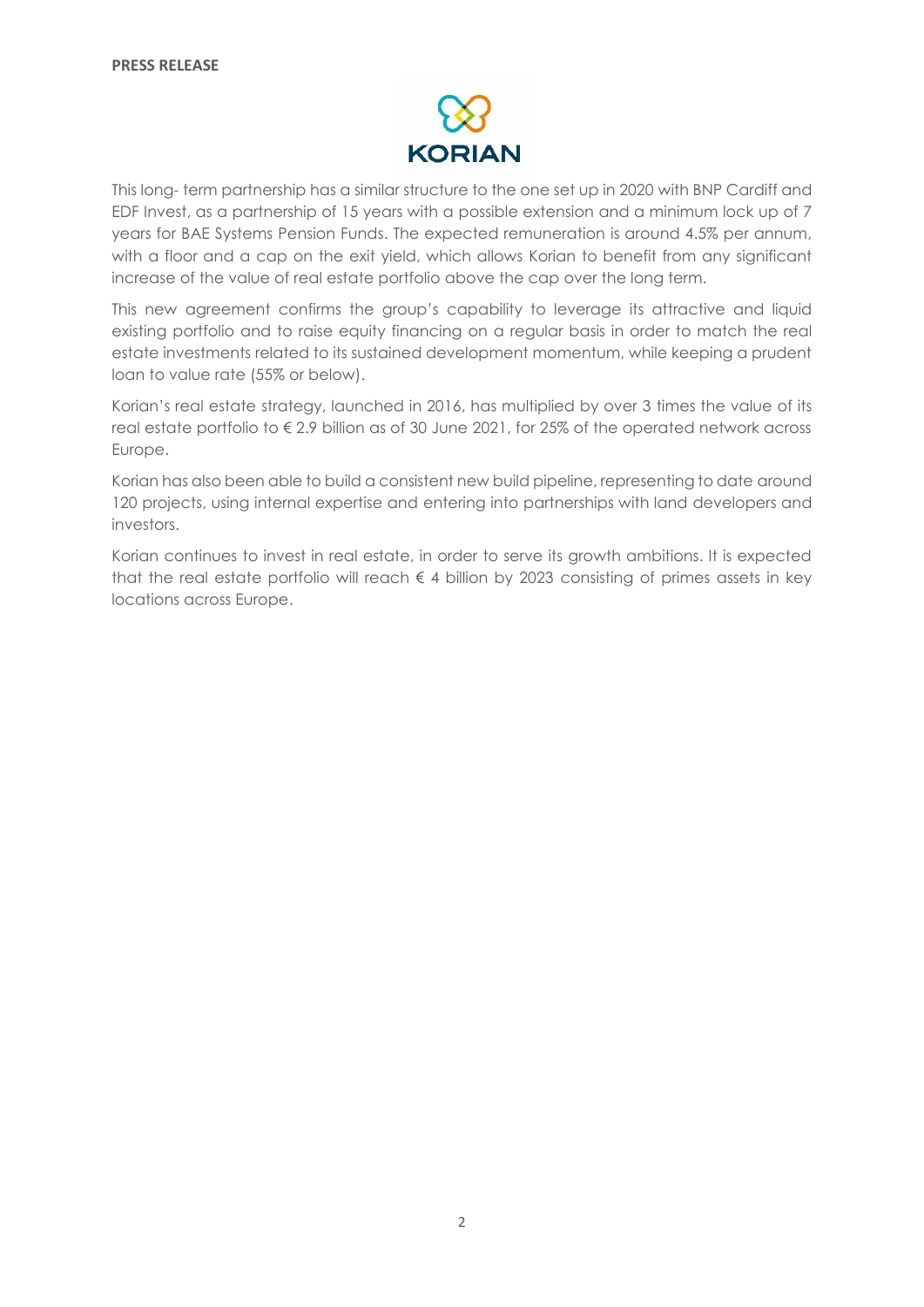

This long- term partnership has a similar structure to the one set up in 2020 with BNP Cardiff and EDF Invest, as a partnership of 15 years with a possible extension and a minimum lock up of 7 years for BAE Systems Pension Funds. The expected remuneration is around 4.5% per annum, with a floor and a cap on the exit yield, which allows Korian to benefit from any significant increase of the value of real estate portfolio above the cap over the long term.

This new agreement confirms the group's capability to leverage its attractive and liquid existing portfolio and to raise equity financing on a regular basis in order to match the real estate investments related to its sustained development momentum, while keeping a prudent loan to value rate (55% or below).

Korian's real estate strategy, launched in 2016, has multiplied by over 3 times the value of its real estate portfolio to € 2.9 billion as of 30 June 2021, for 25% of the operated network across Europe.

Korian has also been able to build a consistent new build pipeline, representing to date around 120 projects, using internal expertise and entering into partnerships with land developers and investors.

Korian continues to invest in real estate, in order to serve its growth ambitions. It is expected that the real estate portfolio will reach  $\epsilon$  4 billion by 2023 consisting of primes assets in key locations across Europe.